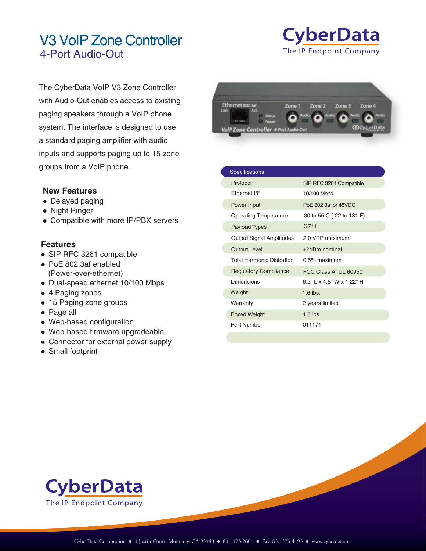## V3 VoIP Zone Controller The IP Endpoint Company 4-Port Audio-Out



The CyberData VoIP V3 Zone Controller with Audio-Out enables access to existing paging speakers through a VoIP phone system. The interface is designed to use a standard paging amplifier with audio inputs and supports paging up to 15 zone groups from a VoIP phone.

## **New Features**

- Delayed paging
- Night Ringer
- Compatible with more IP/PBX servers

## **Features**

- SIP RFC 3261 compatible
- PoE 802.3af enabled (Power-over-ethernet)
- Dual-speed ethernet 10/100 Mbps
- 4 Paging zones
- 15 Paging zone groups
- Page all
- Web-based configuration
- Web-based firmware upgradeable
- Connector for external power supply
- Small footprint

| Ethernet 802.3af<br>Act<br>Link<br><b>Status</b>                        | Zone 1 | Zone 2 | Zone 3<br>oitud | Zone 4<br>Audio |
|-------------------------------------------------------------------------|--------|--------|-----------------|-----------------|
| <b>Power</b><br><b>SERENCE</b><br>VolP Zone Controller 4-Port Audio Out |        |        |                 |                 |

| <b>Specifications</b>            |                             |
|----------------------------------|-----------------------------|
| Protocol                         | SIP RFC 3261 Compatible     |
| Fthernet I/F                     | 10/100 Mbps                 |
| Power Input                      | PoE 802.3af or 48VDC        |
| <b>Operating Temperature</b>     | -30 to 55 C (-22 to 131 F)  |
| <b>Payload Types</b>             | G711                        |
| Output Signal Amplitudes         | 2.0 VPP maximum             |
| <b>Output Level</b>              | $+2d$ Bm nominal            |
| <b>Total Harmonic Distortion</b> | $0.5\%$ maximum             |
| <b>Regulatory Compliance</b>     | FCC Class A, UL 60950       |
| Dimensions                       | $6.2"$   x 4.5" W x 1.22" H |
| Weight                           | $1.6$ lbs.                  |
| Warranty                         | 2 years limited             |
| <b>Boxed Weight</b>              | $1.8$ lbs.                  |
| Part Number                      | 011171                      |